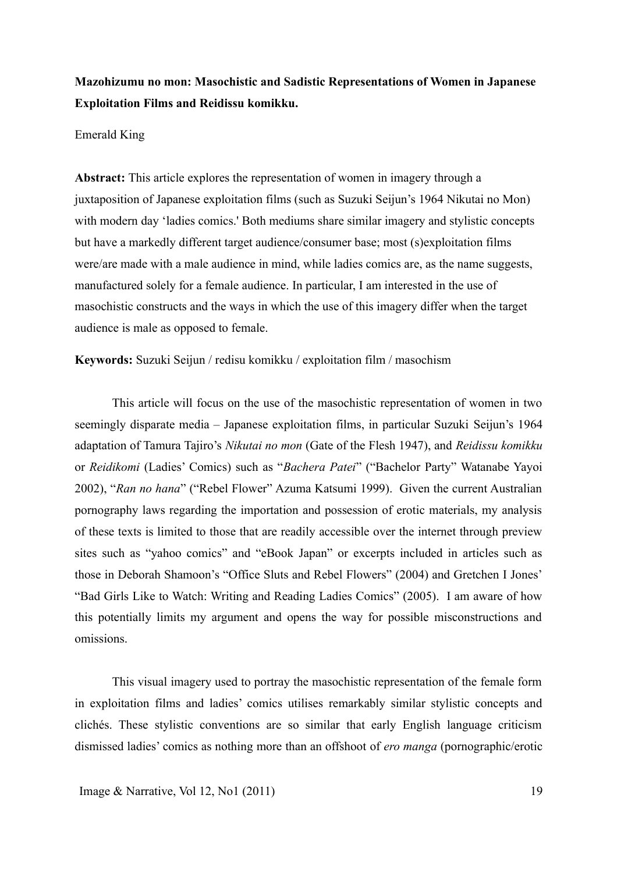# **Mazohizumu no mon: Masochistic and Sadistic Representations of Women in Japanese Exploitation Films and Reidissu komikku.**

### Emerald King

**Abstract:** This article explores the representation of women in imagery through a juxtaposition of Japanese exploitation films (such as Suzuki Seijun's 1964 Nikutai no Mon) with modern day 'ladies comics.' Both mediums share similar imagery and stylistic concepts but have a markedly different target audience/consumer base; most (s)exploitation films were/are made with a male audience in mind, while ladies comics are, as the name suggests, manufactured solely for a female audience. In particular, I am interested in the use of masochistic constructs and the ways in which the use of this imagery differ when the target audience is male as opposed to female.

**Keywords:** Suzuki Seijun / redisu komikku / exploitation film / masochism

This article will focus on the use of the masochistic representation of women in two seemingly disparate media – Japanese exploitation films, in particular Suzuki Seijun's 1964 adaptation of Tamura Tajiro's *Nikutai no mon* (Gate of the Flesh 1947), and *Reidissu komikku* or *Reidikomi* (Ladies' Comics) such as "*Bachera Patei*" ("Bachelor Party" Watanabe Yayoi 2002), "*Ran no hana*" ("Rebel Flower" Azuma Katsumi 1999). Given the current Australian pornography laws regarding the importation and possession of erotic materials, my analysis of these texts is limited to those that are readily accessible over the internet through preview sites such as "yahoo comics" and "eBook Japan" or excerpts included in articles such as those in Deborah Shamoon's "Office Sluts and Rebel Flowers" (2004) and Gretchen I Jones' "Bad Girls Like to Watch: Writing and Reading Ladies Comics" (2005). I am aware of how this potentially limits my argument and opens the way for possible misconstructions and omissions.

This visual imagery used to portray the masochistic representation of the female form in exploitation films and ladies' comics utilises remarkably similar stylistic concepts and clichés. These stylistic conventions are so similar that early English language criticism dismissed ladies' comics as nothing more than an offshoot of *ero manga* (pornographic/erotic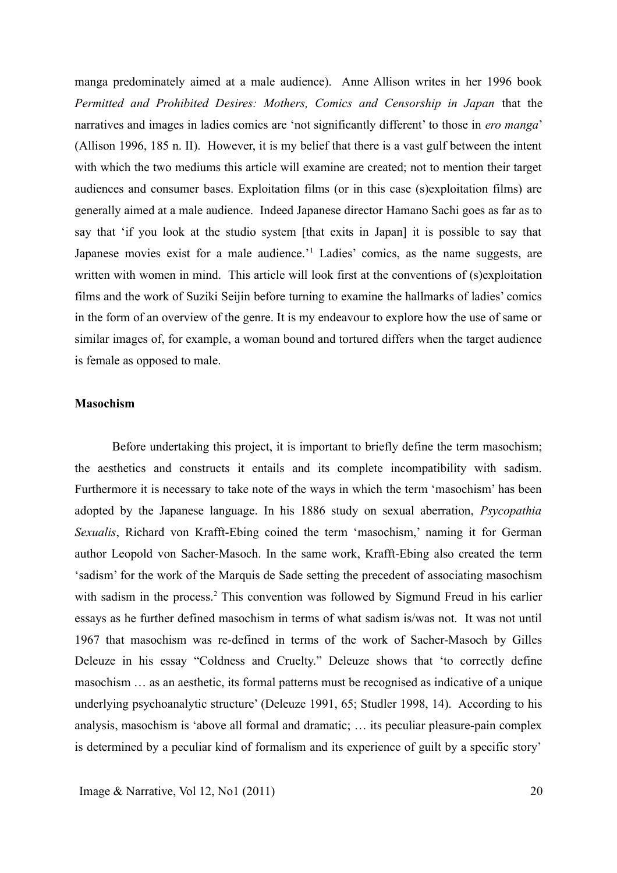manga predominately aimed at a male audience). Anne Allison writes in her 1996 book *Permitted and Prohibited Desires: Mothers, Comics and Censorship in Japan* that the narratives and images in ladies comics are 'not significantly different' to those in *ero manga*' (Allison 1996, 185 n. II). However, it is my belief that there is a vast gulf between the intent with which the two mediums this article will examine are created; not to mention their target audiences and consumer bases. Exploitation films (or in this case (s)exploitation films) are generally aimed at a male audience. Indeed Japanese director Hamano Sachi goes as far as to say that 'if you look at the studio system [that exits in Japan] it is possible to say that Japanese movies exist for a male audience.<sup>1</sup> Ladies' comics, as the name suggests, are written with women in mind. This article will look first at the conventions of (s) exploitation films and the work of Suziki Seijin before turning to examine the hallmarks of ladies' comics in the form of an overview of the genre. It is my endeavour to explore how the use of same or similar images of, for example, a woman bound and tortured differs when the target audience is female as opposed to male.

# **Masochism**

Before undertaking this project, it is important to briefly define the term masochism; the aesthetics and constructs it entails and its complete incompatibility with sadism. Furthermore it is necessary to take note of the ways in which the term 'masochism' has been adopted by the Japanese language. In his 1886 study on sexual aberration, *Psycopathia Sexualis*, Richard von Krafft-Ebing coined the term 'masochism,' naming it for German author Leopold von Sacher-Masoch. In the same work, Krafft-Ebing also created the term 'sadism' for the work of the Marquis de Sade setting the precedent of associating masochism with sadism in the process.<sup>2</sup> This convention was followed by Sigmund Freud in his earlier essays as he further defined masochism in terms of what sadism is/was not. It was not until 1967 that masochism was re-defined in terms of the work of Sacher-Masoch by Gilles Deleuze in his essay "Coldness and Cruelty." Deleuze shows that 'to correctly define masochism … as an aesthetic, its formal patterns must be recognised as indicative of a unique underlying psychoanalytic structure' (Deleuze 1991, 65; Studler 1998, 14). According to his analysis, masochism is 'above all formal and dramatic; … its peculiar pleasure-pain complex is determined by a peculiar kind of formalism and its experience of guilt by a specific story'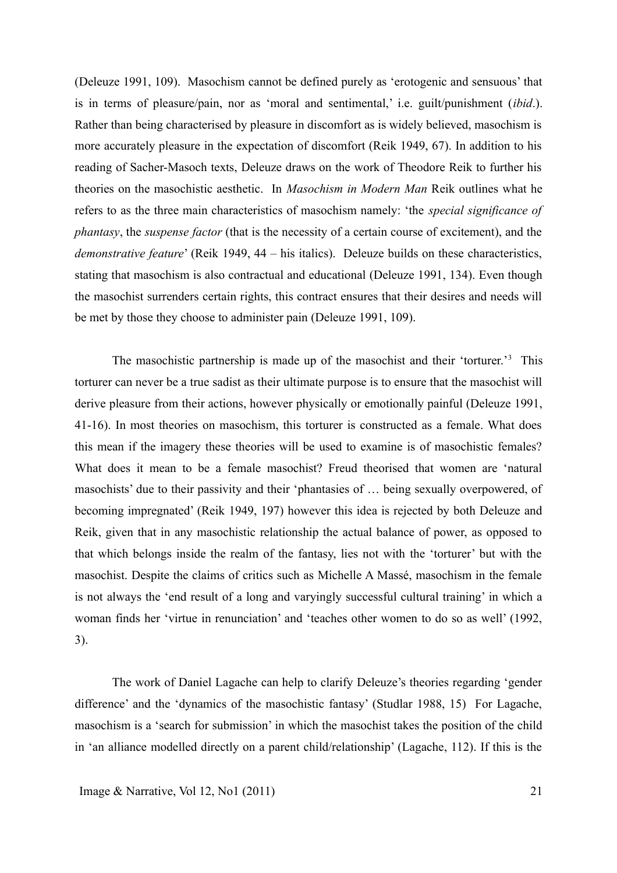(Deleuze 1991, 109). Masochism cannot be defined purely as 'erotogenic and sensuous' that is in terms of pleasure/pain, nor as 'moral and sentimental,' i.e. guilt/punishment (*ibid*.). Rather than being characterised by pleasure in discomfort as is widely believed, masochism is more accurately pleasure in the expectation of discomfort (Reik 1949, 67). In addition to his reading of Sacher-Masoch texts, Deleuze draws on the work of Theodore Reik to further his theories on the masochistic aesthetic. In *Masochism in Modern Man* Reik outlines what he refers to as the three main characteristics of masochism namely: 'the *special significance of phantasy*, the *suspense factor* (that is the necessity of a certain course of excitement), and the *demonstrative feature*' (Reik 1949, 44 – his italics). Deleuze builds on these characteristics, stating that masochism is also contractual and educational (Deleuze 1991, 134). Even though the masochist surrenders certain rights, this contract ensures that their desires and needs will be met by those they choose to administer pain (Deleuze 1991, 109).

The masochistic partnership is made up of the masochist and their 'torturer.'<sup>3</sup> This torturer can never be a true sadist as their ultimate purpose is to ensure that the masochist will derive pleasure from their actions, however physically or emotionally painful (Deleuze 1991, 41-16). In most theories on masochism, this torturer is constructed as a female. What does this mean if the imagery these theories will be used to examine is of masochistic females? What does it mean to be a female masochist? Freud theorised that women are 'natural masochists' due to their passivity and their 'phantasies of … being sexually overpowered, of becoming impregnated' (Reik 1949, 197) however this idea is rejected by both Deleuze and Reik, given that in any masochistic relationship the actual balance of power, as opposed to that which belongs inside the realm of the fantasy, lies not with the 'torturer' but with the masochist. Despite the claims of critics such as Michelle A Massé, masochism in the female is not always the 'end result of a long and varyingly successful cultural training' in which a woman finds her 'virtue in renunciation' and 'teaches other women to do so as well' (1992, 3).

The work of Daniel Lagache can help to clarify Deleuze's theories regarding 'gender difference' and the 'dynamics of the masochistic fantasy' (Studlar 1988, 15) For Lagache, masochism is a 'search for submission' in which the masochist takes the position of the child in 'an alliance modelled directly on a parent child/relationship' (Lagache, 112). If this is the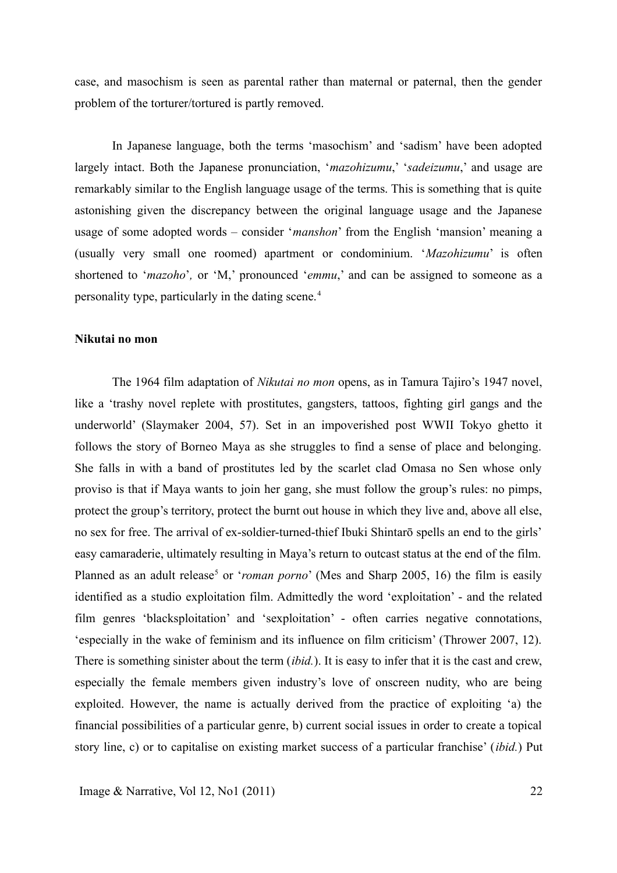case, and masochism is seen as parental rather than maternal or paternal, then the gender problem of the torturer/tortured is partly removed.

In Japanese language, both the terms 'masochism' and 'sadism' have been adopted largely intact. Both the Japanese pronunciation, '*mazohizumu*,' '*sadeizumu*,' and usage are remarkably similar to the English language usage of the terms. This is something that is quite astonishing given the discrepancy between the original language usage and the Japanese usage of some adopted words – consider '*manshon*' from the English 'mansion' meaning a (usually very small one roomed) apartment or condominium. '*Mazohizumu*' is often shortened to '*mazoho*'*,* or 'M,' pronounced '*emmu*,' and can be assigned to someone as a personality type, particularly in the dating scene.<sup>4</sup>

#### **Nikutai no mon**

The 1964 film adaptation of *Nikutai no mon* opens, as in Tamura Tajiro's 1947 novel, like a 'trashy novel replete with prostitutes, gangsters, tattoos, fighting girl gangs and the underworld' (Slaymaker 2004, 57). Set in an impoverished post WWII Tokyo ghetto it follows the story of Borneo Maya as she struggles to find a sense of place and belonging. She falls in with a band of prostitutes led by the scarlet clad Omasa no Sen whose only proviso is that if Maya wants to join her gang, she must follow the group's rules: no pimps, protect the group's territory, protect the burnt out house in which they live and, above all else, no sex for free. The arrival of ex-soldier-turned-thief Ibuki Shintarō spells an end to the girls' easy camaraderie, ultimately resulting in Maya's return to outcast status at the end of the film. Planned as an adult release<sup>5</sup> or '*roman porno*' (Mes and Sharp 2005, 16) the film is easily identified as a studio exploitation film. Admittedly the word 'exploitation' - and the related film genres 'blacksploitation' and 'sexploitation' - often carries negative connotations, 'especially in the wake of feminism and its influence on film criticism' (Thrower 2007, 12). There is something sinister about the term (*ibid.*). It is easy to infer that it is the cast and crew, especially the female members given industry's love of onscreen nudity, who are being exploited. However, the name is actually derived from the practice of exploiting 'a) the financial possibilities of a particular genre, b) current social issues in order to create a topical story line, c) or to capitalise on existing market success of a particular franchise' (*ibid.*) Put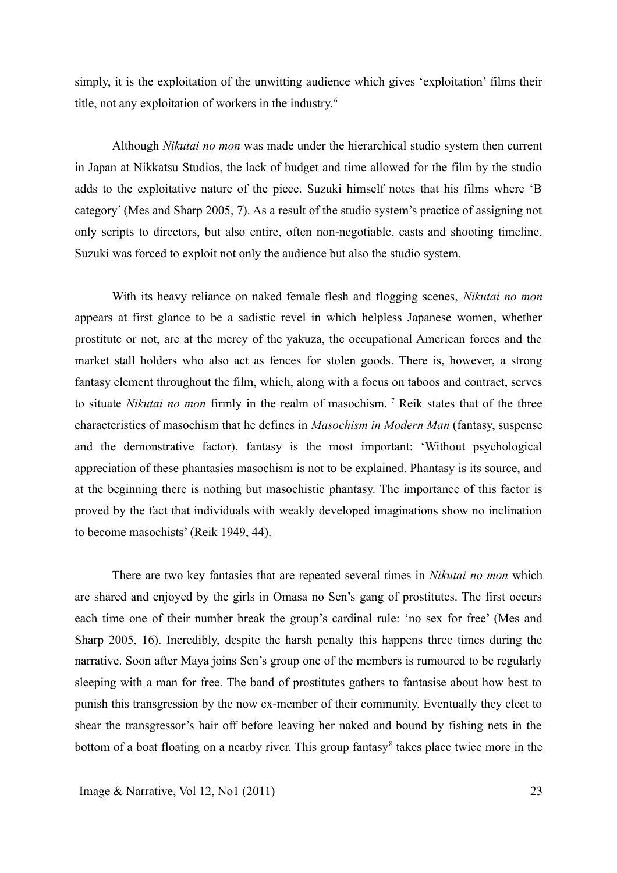simply, it is the exploitation of the unwitting audience which gives 'exploitation' films their title, not any exploitation of workers in the industry.<sup>6</sup>

Although *Nikutai no mon* was made under the hierarchical studio system then current in Japan at Nikkatsu Studios, the lack of budget and time allowed for the film by the studio adds to the exploitative nature of the piece. Suzuki himself notes that his films where 'B category' (Mes and Sharp 2005, 7). As a result of the studio system's practice of assigning not only scripts to directors, but also entire, often non-negotiable, casts and shooting timeline, Suzuki was forced to exploit not only the audience but also the studio system.

With its heavy reliance on naked female flesh and flogging scenes, *Nikutai no mon* appears at first glance to be a sadistic revel in which helpless Japanese women, whether prostitute or not, are at the mercy of the yakuza, the occupational American forces and the market stall holders who also act as fences for stolen goods. There is, however, a strong fantasy element throughout the film, which, along with a focus on taboos and contract, serves to situate *Nikutai no mon* firmly in the realm of masochism.<sup>7</sup> Reik states that of the three characteristics of masochism that he defines in *Masochism in Modern Man* (fantasy, suspense and the demonstrative factor), fantasy is the most important: 'Without psychological appreciation of these phantasies masochism is not to be explained. Phantasy is its source, and at the beginning there is nothing but masochistic phantasy. The importance of this factor is proved by the fact that individuals with weakly developed imaginations show no inclination to become masochists' (Reik 1949, 44).

There are two key fantasies that are repeated several times in *Nikutai no mon* which are shared and enjoyed by the girls in Omasa no Sen's gang of prostitutes. The first occurs each time one of their number break the group's cardinal rule: 'no sex for free' (Mes and Sharp 2005, 16). Incredibly, despite the harsh penalty this happens three times during the narrative. Soon after Maya joins Sen's group one of the members is rumoured to be regularly sleeping with a man for free. The band of prostitutes gathers to fantasise about how best to punish this transgression by the now ex-member of their community. Eventually they elect to shear the transgressor's hair off before leaving her naked and bound by fishing nets in the bottom of a boat floating on a nearby river. This group fantasy<sup>8</sup> takes place twice more in the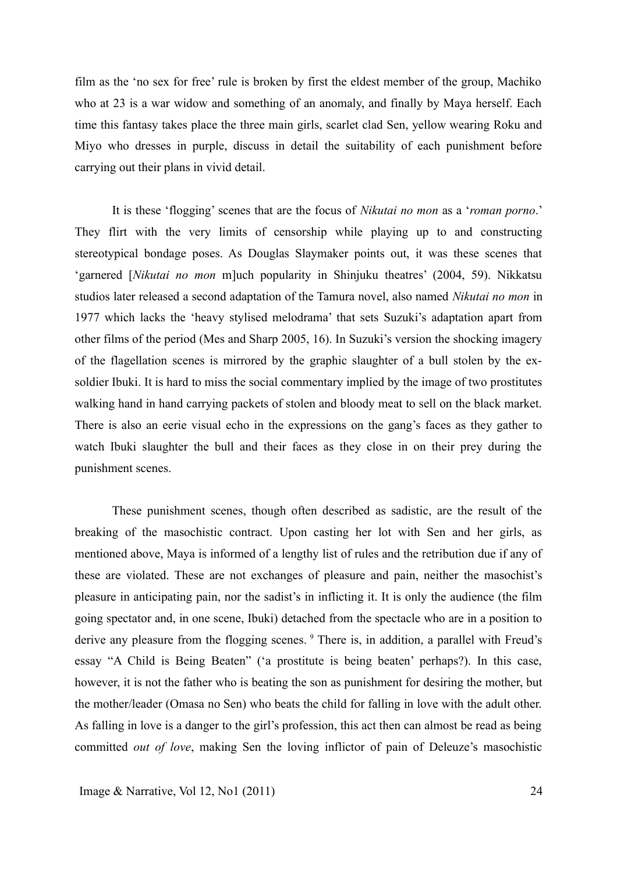film as the 'no sex for free' rule is broken by first the eldest member of the group, Machiko who at 23 is a war widow and something of an anomaly, and finally by Maya herself. Each time this fantasy takes place the three main girls, scarlet clad Sen, yellow wearing Roku and Miyo who dresses in purple, discuss in detail the suitability of each punishment before carrying out their plans in vivid detail.

It is these 'flogging' scenes that are the focus of *Nikutai no mon* as a '*roman porno*.' They flirt with the very limits of censorship while playing up to and constructing stereotypical bondage poses. As Douglas Slaymaker points out, it was these scenes that 'garnered [*Nikutai no mon* m]uch popularity in Shinjuku theatres' (2004, 59). Nikkatsu studios later released a second adaptation of the Tamura novel, also named *Nikutai no mon* in 1977 which lacks the 'heavy stylised melodrama' that sets Suzuki's adaptation apart from other films of the period (Mes and Sharp 2005, 16). In Suzuki's version the shocking imagery of the flagellation scenes is mirrored by the graphic slaughter of a bull stolen by the exsoldier Ibuki. It is hard to miss the social commentary implied by the image of two prostitutes walking hand in hand carrying packets of stolen and bloody meat to sell on the black market. There is also an eerie visual echo in the expressions on the gang's faces as they gather to watch Ibuki slaughter the bull and their faces as they close in on their prey during the punishment scenes.

These punishment scenes, though often described as sadistic, are the result of the breaking of the masochistic contract. Upon casting her lot with Sen and her girls, as mentioned above, Maya is informed of a lengthy list of rules and the retribution due if any of these are violated. These are not exchanges of pleasure and pain, neither the masochist's pleasure in anticipating pain, nor the sadist's in inflicting it. It is only the audience (the film going spectator and, in one scene, Ibuki) detached from the spectacle who are in a position to derive any pleasure from the flogging scenes. <sup>9</sup> There is, in addition, a parallel with Freud's essay "A Child is Being Beaten" ('a prostitute is being beaten' perhaps?). In this case, however, it is not the father who is beating the son as punishment for desiring the mother, but the mother/leader (Omasa no Sen) who beats the child for falling in love with the adult other. As falling in love is a danger to the girl's profession, this act then can almost be read as being committed *out of love*, making Sen the loving inflictor of pain of Deleuze's masochistic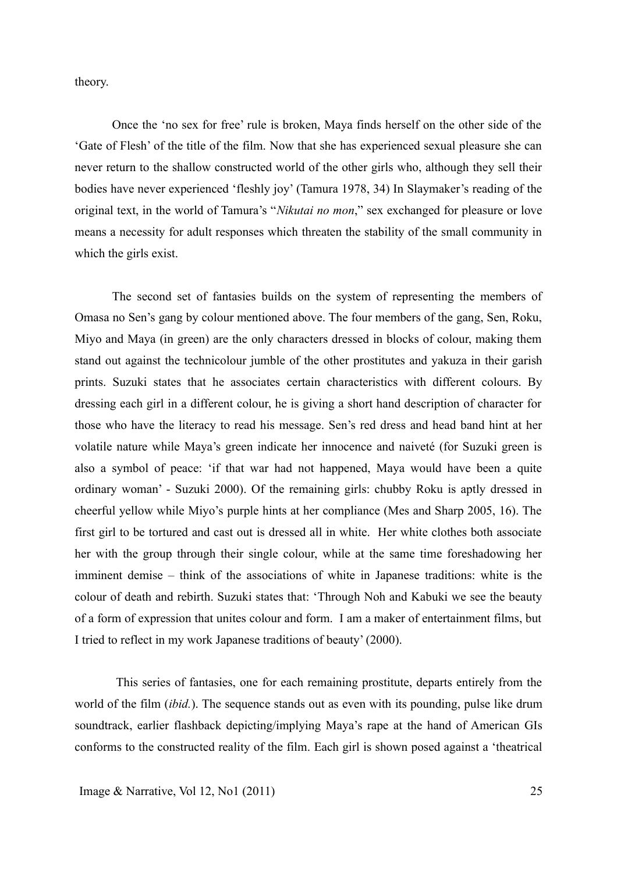theory.

Once the 'no sex for free' rule is broken, Maya finds herself on the other side of the 'Gate of Flesh' of the title of the film. Now that she has experienced sexual pleasure she can never return to the shallow constructed world of the other girls who, although they sell their bodies have never experienced 'fleshly joy' (Tamura 1978, 34) In Slaymaker's reading of the original text, in the world of Tamura's "*Nikutai no mon*," sex exchanged for pleasure or love means a necessity for adult responses which threaten the stability of the small community in which the girls exist.

The second set of fantasies builds on the system of representing the members of Omasa no Sen's gang by colour mentioned above. The four members of the gang, Sen, Roku, Miyo and Maya (in green) are the only characters dressed in blocks of colour, making them stand out against the technicolour jumble of the other prostitutes and yakuza in their garish prints. Suzuki states that he associates certain characteristics with different colours. By dressing each girl in a different colour, he is giving a short hand description of character for those who have the literacy to read his message. Sen's red dress and head band hint at her volatile nature while Maya's green indicate her innocence and naiveté (for Suzuki green is also a symbol of peace: 'if that war had not happened, Maya would have been a quite ordinary woman' - Suzuki 2000). Of the remaining girls: chubby Roku is aptly dressed in cheerful yellow while Miyo's purple hints at her compliance (Mes and Sharp 2005, 16). The first girl to be tortured and cast out is dressed all in white. Her white clothes both associate her with the group through their single colour, while at the same time foreshadowing her imminent demise – think of the associations of white in Japanese traditions: white is the colour of death and rebirth. Suzuki states that: 'Through Noh and Kabuki we see the beauty of a form of expression that unites colour and form. I am a maker of entertainment films, but I tried to reflect in my work Japanese traditions of beauty' (2000).

 This series of fantasies, one for each remaining prostitute, departs entirely from the world of the film (*ibid.*). The sequence stands out as even with its pounding, pulse like drum soundtrack, earlier flashback depicting/implying Maya's rape at the hand of American GIs conforms to the constructed reality of the film. Each girl is shown posed against a 'theatrical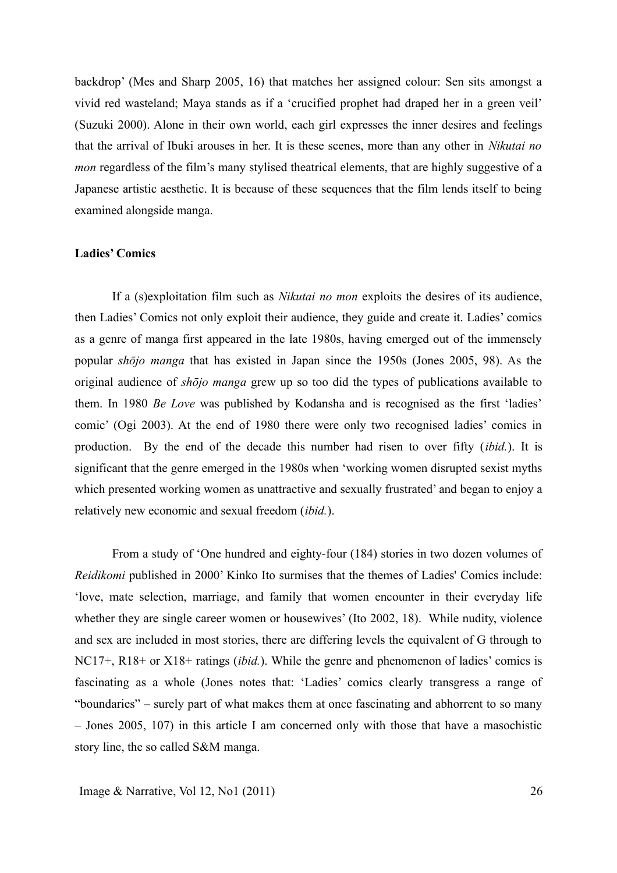backdrop' (Mes and Sharp 2005, 16) that matches her assigned colour: Sen sits amongst a vivid red wasteland; Maya stands as if a 'crucified prophet had draped her in a green veil' (Suzuki 2000). Alone in their own world, each girl expresses the inner desires and feelings that the arrival of Ibuki arouses in her. It is these scenes, more than any other in *Nikutai no mon* regardless of the film's many stylised theatrical elements, that are highly suggestive of a Japanese artistic aesthetic. It is because of these sequences that the film lends itself to being examined alongside manga.

#### **Ladies' Comics**

If a (s)exploitation film such as *Nikutai no mon* exploits the desires of its audience, then Ladies' Comics not only exploit their audience, they guide and create it. Ladies' comics as a genre of manga first appeared in the late 1980s, having emerged out of the immensely popular *shōjo manga* that has existed in Japan since the 1950s (Jones 2005, 98). As the original audience of *shōjo manga* grew up so too did the types of publications available to them. In 1980 *Be Love* was published by Kodansha and is recognised as the first 'ladies' comic' (Ogi 2003). At the end of 1980 there were only two recognised ladies' comics in production. By the end of the decade this number had risen to over fifty (*ibid.*). It is significant that the genre emerged in the 1980s when 'working women disrupted sexist myths which presented working women as unattractive and sexually frustrated' and began to enjoy a relatively new economic and sexual freedom (*ibid.*).

From a study of 'One hundred and eighty-four (184) stories in two dozen volumes of *Reidikomi* published in 2000' Kinko Ito surmises that the themes of Ladies' Comics include: 'love, mate selection, marriage, and family that women encounter in their everyday life whether they are single career women or housewives' (Ito 2002, 18). While nudity, violence and sex are included in most stories, there are differing levels the equivalent of G through to NC17+, R18+ or X18+ ratings (*ibid.*). While the genre and phenomenon of ladies' comics is fascinating as a whole (Jones notes that: 'Ladies' comics clearly transgress a range of "boundaries" – surely part of what makes them at once fascinating and abhorrent to so many – Jones 2005, 107) in this article I am concerned only with those that have a masochistic story line, the so called S&M manga.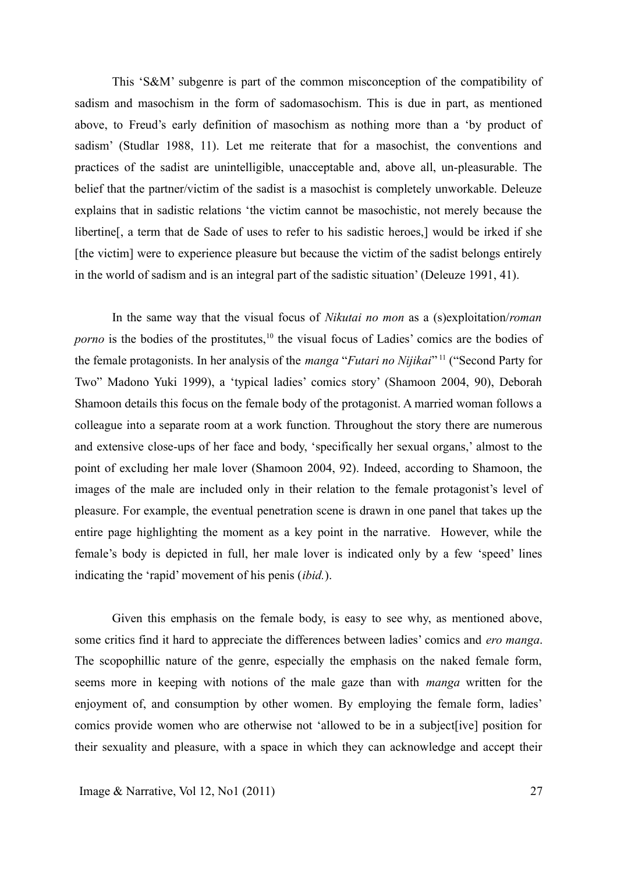This 'S&M' subgenre is part of the common misconception of the compatibility of sadism and masochism in the form of sadomasochism. This is due in part, as mentioned above, to Freud's early definition of masochism as nothing more than a 'by product of sadism' (Studlar 1988, 11). Let me reiterate that for a masochist, the conventions and practices of the sadist are unintelligible, unacceptable and, above all, un-pleasurable. The belief that the partner/victim of the sadist is a masochist is completely unworkable. Deleuze explains that in sadistic relations 'the victim cannot be masochistic, not merely because the libertine[, a term that de Sade of uses to refer to his sadistic heroes,] would be irked if she [the victim] were to experience pleasure but because the victim of the sadist belongs entirely in the world of sadism and is an integral part of the sadistic situation' (Deleuze 1991, 41).

In the same way that the visual focus of *Nikutai no mon* as a (s)exploitation/*roman porno* is the bodies of the prostitutes,<sup>10</sup> the visual focus of Ladies' comics are the bodies of the female protagonists. In her analysis of the *manga* "*Futari no Nijikai*" <sup>11</sup> ("Second Party for Two" Madono Yuki 1999), a 'typical ladies' comics story' (Shamoon 2004, 90), Deborah Shamoon details this focus on the female body of the protagonist. A married woman follows a colleague into a separate room at a work function. Throughout the story there are numerous and extensive close-ups of her face and body, 'specifically her sexual organs,' almost to the point of excluding her male lover (Shamoon 2004, 92). Indeed, according to Shamoon, the images of the male are included only in their relation to the female protagonist's level of pleasure. For example, the eventual penetration scene is drawn in one panel that takes up the entire page highlighting the moment as a key point in the narrative. However, while the female's body is depicted in full, her male lover is indicated only by a few 'speed' lines indicating the 'rapid' movement of his penis (*ibid.*).

Given this emphasis on the female body, is easy to see why, as mentioned above, some critics find it hard to appreciate the differences between ladies' comics and *ero manga*. The scopophillic nature of the genre, especially the emphasis on the naked female form, seems more in keeping with notions of the male gaze than with *manga* written for the enjoyment of, and consumption by other women. By employing the female form, ladies' comics provide women who are otherwise not 'allowed to be in a subject[ive] position for their sexuality and pleasure, with a space in which they can acknowledge and accept their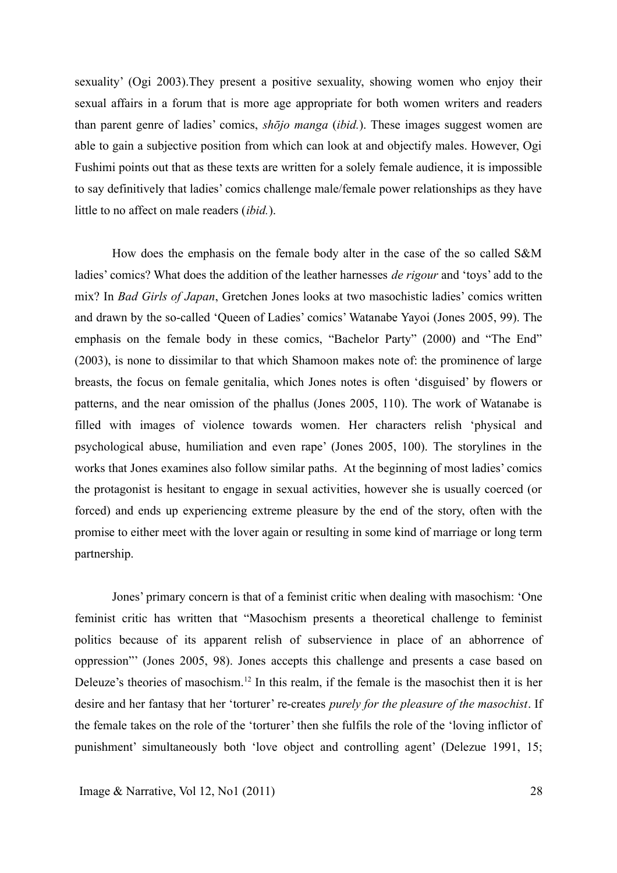sexuality' (Ogi 2003).They present a positive sexuality, showing women who enjoy their sexual affairs in a forum that is more age appropriate for both women writers and readers than parent genre of ladies' comics, *shōjo manga* (*ibid.*). These images suggest women are able to gain a subjective position from which can look at and objectify males. However, Ogi Fushimi points out that as these texts are written for a solely female audience, it is impossible to say definitively that ladies' comics challenge male/female power relationships as they have little to no affect on male readers (*ibid.*).

How does the emphasis on the female body alter in the case of the so called S&M ladies' comics? What does the addition of the leather harnesses *de rigour* and 'toys' add to the mix? In *Bad Girls of Japan*, Gretchen Jones looks at two masochistic ladies' comics written and drawn by the so-called 'Queen of Ladies' comics' Watanabe Yayoi (Jones 2005, 99). The emphasis on the female body in these comics, "Bachelor Party" (2000) and "The End" (2003), is none to dissimilar to that which Shamoon makes note of: the prominence of large breasts, the focus on female genitalia, which Jones notes is often 'disguised' by flowers or patterns, and the near omission of the phallus (Jones 2005, 110). The work of Watanabe is filled with images of violence towards women. Her characters relish 'physical and psychological abuse, humiliation and even rape' (Jones 2005, 100). The storylines in the works that Jones examines also follow similar paths. At the beginning of most ladies' comics the protagonist is hesitant to engage in sexual activities, however she is usually coerced (or forced) and ends up experiencing extreme pleasure by the end of the story, often with the promise to either meet with the lover again or resulting in some kind of marriage or long term partnership.

Jones' primary concern is that of a feminist critic when dealing with masochism: 'One feminist critic has written that "Masochism presents a theoretical challenge to feminist politics because of its apparent relish of subservience in place of an abhorrence of oppression"' (Jones 2005, 98). Jones accepts this challenge and presents a case based on Deleuze's theories of masochism.<sup>12</sup> In this realm, if the female is the masochist then it is her desire and her fantasy that her 'torturer' re-creates *purely for the pleasure of the masochist*. If the female takes on the role of the 'torturer' then she fulfils the role of the 'loving inflictor of punishment' simultaneously both 'love object and controlling agent' (Delezue 1991, 15;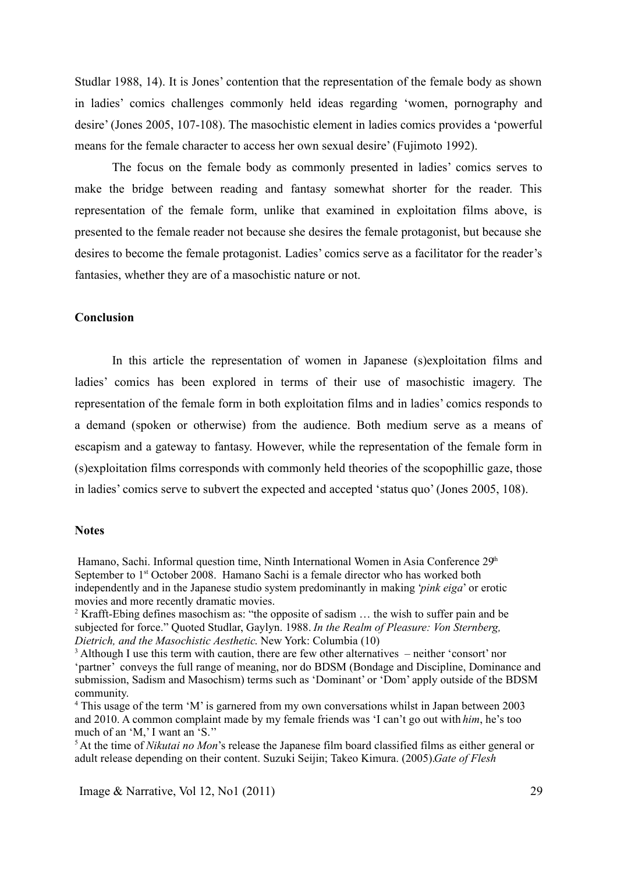Studlar 1988, 14). It is Jones' contention that the representation of the female body as shown in ladies' comics challenges commonly held ideas regarding 'women, pornography and desire' (Jones 2005, 107-108). The masochistic element in ladies comics provides a 'powerful means for the female character to access her own sexual desire' (Fujimoto 1992).

The focus on the female body as commonly presented in ladies' comics serves to make the bridge between reading and fantasy somewhat shorter for the reader. This representation of the female form, unlike that examined in exploitation films above, is presented to the female reader not because she desires the female protagonist, but because she desires to become the female protagonist. Ladies' comics serve as a facilitator for the reader's fantasies, whether they are of a masochistic nature or not.

## **Conclusion**

In this article the representation of women in Japanese (s)exploitation films and ladies' comics has been explored in terms of their use of masochistic imagery. The representation of the female form in both exploitation films and in ladies' comics responds to a demand (spoken or otherwise) from the audience. Both medium serve as a means of escapism and a gateway to fantasy. However, while the representation of the female form in (s)exploitation films corresponds with commonly held theories of the scopophillic gaze, those in ladies' comics serve to subvert the expected and accepted 'status quo' (Jones 2005, 108).

#### **Notes**

<sup>5</sup>At the time of *Nikutai no Mon*'s release the Japanese film board classified films as either general or adult release depending on their content. Suzuki Seijin; Takeo Kimura. (2005).*Gate of Flesh*

Hamano, Sachi. Informal question time, Ninth International Women in Asia Conference  $29<sup>th</sup>$ September to  $1<sup>st</sup>$  October 2008. Hamano Sachi is a female director who has worked both independently and in the Japanese studio system predominantly in making '*pink eiga*' or erotic movies and more recently dramatic movies.

<sup>&</sup>lt;sup>2</sup> Krafft-Ebing defines masochism as: "the opposite of sadism  $\ldots$  the wish to suffer pain and be subjected for force." Quoted Studlar, Gaylyn. 1988. *In the Realm of Pleasure: Von Sternberg, Dietrich, and the Masochistic Aesthetic*. New York: Columbia (10)

<sup>&</sup>lt;sup>3</sup> Although I use this term with caution, there are few other alternatives – neither 'consort' nor 'partner' conveys the full range of meaning, nor do BDSM (Bondage and Discipline, Dominance and submission, Sadism and Masochism) terms such as 'Dominant' or 'Dom' apply outside of the BDSM community.

<sup>&</sup>lt;sup>4</sup> This usage of the term 'M' is garnered from my own conversations whilst in Japan between 2003 and 2010. A common complaint made by my female friends was 'I can't go out with *him*, he's too much of an 'M,' I want an 'S.''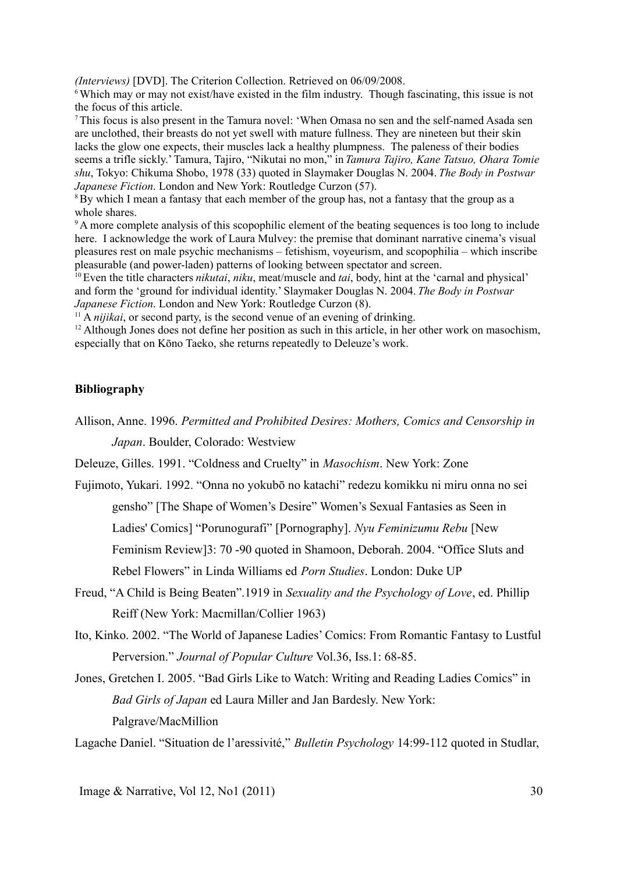*(Interviews)* [DVD]. The Criterion Collection. Retrieved on 06/09/2008.

<sup>6</sup>Which may or may not exist/have existed in the film industry. Though fascinating, this issue is not the focus of this article.

<sup>7</sup>This focus is also present in the Tamura novel: 'When Omasa no sen and the self-named Asada sen are unclothed, their breasts do not yet swell with mature fullness. They are nineteen but their skin lacks the glow one expects, their muscles lack a healthy plumpness. The paleness of their bodies seems a trifle sickly.' Tamura, Tajiro, "Nikutai no mon," in *Tamura Tajiro, Kane Tatsuo, Ohara Tomie shu*, Tokyo: Chikuma Shobo, 1978 (33) quoted in Slaymaker Douglas N. 2004. *The Body in Postwar Japanese Fiction*. London and New York: Routledge Curzon (57).

<sup>8</sup>By which I mean a fantasy that each member of the group has, not a fantasy that the group as a whole shares.

<sup>9</sup>A more complete analysis of this scopophilic element of the beating sequences is too long to include here. I acknowledge the work of Laura Mulvey: the premise that dominant narrative cinema's visual pleasures rest on male psychic mechanisms – fetishism, voyeurism, and scopophilia – which inscribe pleasurable (and power-laden) patterns of looking between spectator and screen.

<sup>10</sup>Even the title characters *nikutai*, *niku*, meat/muscle and *tai*, body, hint at the 'carnal and physical' and form the 'ground for individual identity.' Slaymaker Douglas N. 2004. *The Body in Postwar Japanese Fiction*. London and New York: Routledge Curzon (8).

 $11$  A *nijikai*, or second party, is the second venue of an evening of drinking.

<sup>12</sup> Although Jones does not define her position as such in this article, in her other work on masochism, especially that on Kōno Taeko, she returns repeatedly to Deleuze's work.

## **Bibliography**

Allison, Anne. 1996. *Permitted and Prohibited Desires: Mothers, Comics and Censorship in Japan*. Boulder, Colorado: Westview

Deleuze, Gilles. 1991. "Coldness and Cruelty" in *Masochism*. New York: Zone

- Fujimoto, Yukari. 1992. "Onna no yokubō no katachi" redezu komikku ni miru onna no sei gensho" [The Shape of Women's Desire" Women's Sexual Fantasies as Seen in Ladies' Comics] "Porunogurafi" [Pornography]. *Nyu Feminizumu Rebu* [New Feminism Review]3: 70 -90 quoted in Shamoon, Deborah. 2004. "Office Sluts and Rebel Flowers" in Linda Williams ed *Porn Studies*. London: Duke UP
- Freud, "A Child is Being Beaten".1919 in *Sexuality and the Psychology of Love*, ed. Phillip Reiff (New York: Macmillan/Collier 1963)
- Ito, Kinko. 2002. "The World of Japanese Ladies' Comics: From Romantic Fantasy to Lustful Perversion." *Journal of Popular Culture* Vol.36, Iss.1: 68-85.
- Jones, Gretchen I. 2005. "Bad Girls Like to Watch: Writing and Reading Ladies Comics" in *Bad Girls of Japan* ed Laura Miller and Jan Bardesly. New York: Palgrave/MacMillion

Lagache Daniel. "Situation de l'aressivité," *Bulletin Psychology* 14:99-112 quoted in Studlar,